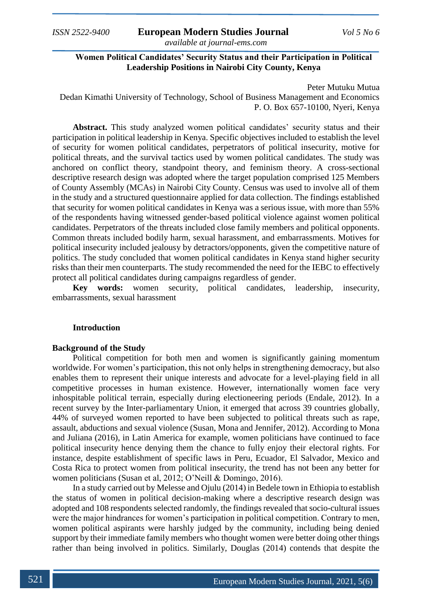**Women Political Candidates' Security Status and their Participation in Political Leadership Positions in Nairobi City County, Kenya**

Peter Mutuku Mutua Dedan Kimathi University of Technology, School of Business Management and Economics P. O. Box 657-10100, Nyeri, Kenya

**Abstract.** This study analyzed women political candidates' security status and their participation in political leadership in Kenya. Specific objectives included to establish the level of security for women political candidates, perpetrators of political insecurity, motive for political threats, and the survival tactics used by women political candidates. The study was anchored on conflict theory, standpoint theory, and feminism theory. A cross-sectional descriptive research design was adopted where the target population comprised 125 Members of County Assembly (MCAs) in Nairobi City County. Census was used to involve all of them in the study and a structured questionnaire applied for data collection. The findings established that security for women political candidates in Kenya was a serious issue, with more than 55% of the respondents having witnessed gender-based political violence against women political candidates. Perpetrators of the threats included close family members and political opponents. Common threats included bodily harm, sexual harassment, and embarrassments. Motives for political insecurity included jealousy by detractors/opponents, given the competitive nature of politics. The study concluded that women political candidates in Kenya stand higher security risks than their men counterparts. The study recommended the need for the IEBC to effectively protect all political candidates during campaigns regardless of gender.

**Key words:** women security, political candidates, leadership, insecurity, embarrassments, sexual harassment

#### **Introduction**

#### **Background of the Study**

Political competition for both men and women is significantly gaining momentum worldwide. For women's participation, this not only helps in strengthening democracy, but also enables them to represent their unique interests and advocate for a level-playing field in all competitive processes in human existence. However, internationally women face very inhospitable political terrain, especially during electioneering periods (Endale, 2012). In a recent survey by the Inter-parliamentary Union, it emerged that across 39 countries globally, 44% of surveyed women reported to have been subjected to political threats such as rape, assault, abductions and sexual violence (Susan, Mona and Jennifer, 2012). According to Mona and Juliana (2016), in Latin America for example, women politicians have continued to face political insecurity hence denying them the chance to fully enjoy their electoral rights. For instance, despite establishment of specific laws in Peru, Ecuador, El Salvador, Mexico and Costa Rica to protect women from political insecurity, the trend has not been any better for women politicians (Susan et al, 2012; O'Neill & Domingo, 2016).

In a study carried out by Melesse and Ojulu (2014) in Bedele town in Ethiopia to establish the status of women in political decision-making where a descriptive research design was adopted and 108 respondents selected randomly, the findings revealed that socio-cultural issues were the major hindrances for women's participation in political competition. Contrary to men, women political aspirants were harshly judged by the community, including being denied support by their immediate family members who thought women were better doing other things rather than being involved in politics. Similarly, Douglas (2014) contends that despite the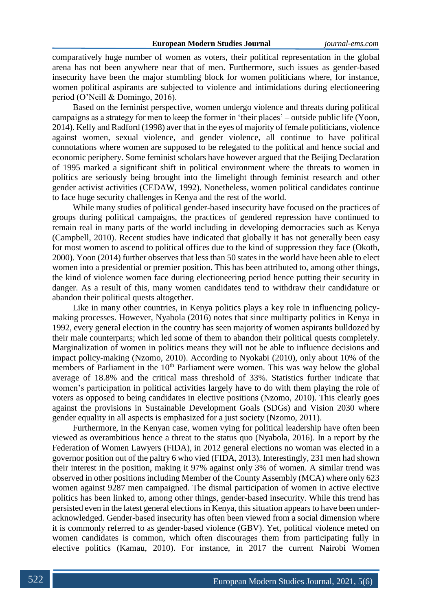comparatively huge number of women as voters, their political representation in the global arena has not been anywhere near that of men. Furthermore, such issues as gender-based insecurity have been the major stumbling block for women politicians where, for instance, women political aspirants are subjected to violence and intimidations during electioneering period (O'Neill & Domingo, 2016).

Based on the feminist perspective, women undergo violence and threats during political campaigns as a strategy for men to keep the former in 'their places' – outside public life (Yoon, 2014). Kelly and Radford (1998) aver that in the eyes of majority of female politicians, violence against women, sexual violence, and gender violence, all continue to have political connotations where women are supposed to be relegated to the political and hence social and economic periphery. Some feminist scholars have however argued that the Beijing Declaration of 1995 marked a significant shift in political environment where the threats to women in politics are seriously being brought into the limelight through feminist research and other gender activist activities (CEDAW, 1992). Nonetheless, women political candidates continue to face huge security challenges in Kenya and the rest of the world.

While many studies of political gender-based insecurity have focused on the practices of groups during political campaigns, the practices of gendered repression have continued to remain real in many parts of the world including in developing democracies such as Kenya (Campbell, 2010). Recent studies have indicated that globally it has not generally been easy for most women to ascend to political offices due to the kind of suppression they face (Okoth, 2000). Yoon (2014) further observes that less than 50 states in the world have been able to elect women into a presidential or premier position. This has been attributed to, among other things, the kind of violence women face during electioneering period hence putting their security in danger. As a result of this, many women candidates tend to withdraw their candidature or abandon their political quests altogether.

Like in many other countries, in Kenya politics plays a key role in influencing policymaking processes. However, Nyabola (2016) notes that since multiparty politics in Kenya in 1992, every general election in the country has seen majority of women aspirants bulldozed by their male counterparts; which led some of them to abandon their political quests completely. Marginalization of women in politics means they will not be able to influence decisions and impact policy-making (Nzomo, 2010). According to Nyokabi (2010), only about 10% of the members of Parliament in the  $10<sup>th</sup>$  Parliament were women. This was way below the global average of 18.8% and the critical mass threshold of 33%. Statistics further indicate that women's participation in political activities largely have to do with them playing the role of voters as opposed to being candidates in elective positions (Nzomo, 2010). This clearly goes against the provisions in Sustainable Development Goals (SDGs) and Vision 2030 where gender equality in all aspects is emphasized for a just society (Nzomo, 2011).

Furthermore, in the Kenyan case, women vying for political leadership have often been viewed as overambitious hence a threat to the status quo (Nyabola, 2016). In a report by the Federation of Women Lawyers (FIDA), in 2012 general elections no woman was elected in a governor position out of the paltry 6 who vied (FIDA, 2013). Interestingly, 231 men had shown their interest in the position, making it 97% against only 3% of women. A similar trend was observed in other positions including Member of the County Assembly (MCA) where only 623 women against 9287 men campaigned. The dismal participation of women in active elective politics has been linked to, among other things, gender-based insecurity. While this trend has persisted even in the latest general elections in Kenya, this situation appears to have been underacknowledged. Gender-based insecurity has often been viewed from a social dimension where it is commonly referred to as gender-based violence (GBV). Yet, political violence meted on women candidates is common, which often discourages them from participating fully in elective politics (Kamau, 2010). For instance, in 2017 the current Nairobi Women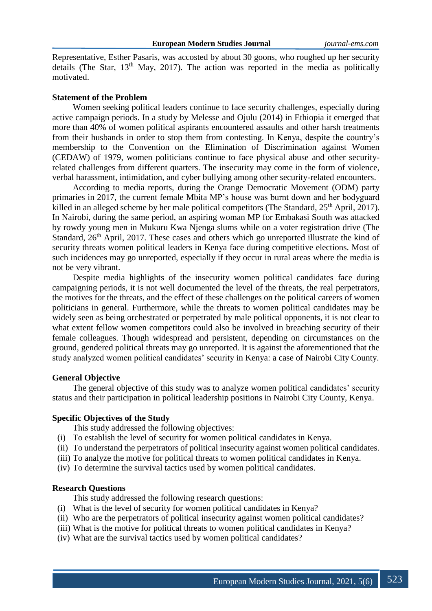Representative, Esther Pasaris, was accosted by about 30 goons, who roughed up her security details (The Star,  $13<sup>th</sup>$  May, 2017). The action was reported in the media as politically motivated.

#### **Statement of the Problem**

Women seeking political leaders continue to face security challenges, especially during active campaign periods. In a study by Melesse and Ojulu (2014) in Ethiopia it emerged that more than 40% of women political aspirants encountered assaults and other harsh treatments from their husbands in order to stop them from contesting. In Kenya, despite the country's membership to the Convention on the Elimination of Discrimination against Women (CEDAW) of 1979, women politicians continue to face physical abuse and other securityrelated challenges from different quarters. The insecurity may come in the form of violence, verbal harassment, intimidation, and cyber bullying among other security-related encounters.

According to media reports, during the Orange Democratic Movement (ODM) party primaries in 2017, the current female Mbita MP's house was burnt down and her bodyguard killed in an alleged scheme by her male political competitors (The Standard, 25<sup>th</sup> April, 2017). In Nairobi, during the same period, an aspiring woman MP for Embakasi South was attacked by rowdy young men in Mukuru Kwa Njenga slums while on a voter registration drive (The Standard, 26<sup>th</sup> April, 2017. These cases and others which go unreported illustrate the kind of security threats women political leaders in Kenya face during competitive elections. Most of such incidences may go unreported, especially if they occur in rural areas where the media is not be very vibrant.

Despite media highlights of the insecurity women political candidates face during campaigning periods, it is not well documented the level of the threats, the real perpetrators, the motives for the threats, and the effect of these challenges on the political careers of women politicians in general. Furthermore, while the threats to women political candidates may be widely seen as being orchestrated or perpetrated by male political opponents, it is not clear to what extent fellow women competitors could also be involved in breaching security of their female colleagues. Though widespread and persistent, depending on circumstances on the ground, gendered political threats may go unreported. It is against the aforementioned that the study analyzed women political candidates' security in Kenya: a case of Nairobi City County.

# **General Objective**

The general objective of this study was to analyze women political candidates' security status and their participation in political leadership positions in Nairobi City County, Kenya.

# **Specific Objectives of the Study**

- This study addressed the following objectives:
- (i) To establish the level of security for women political candidates in Kenya.
- (ii) To understand the perpetrators of political insecurity against women political candidates.
- (iii) To analyze the motive for political threats to women political candidates in Kenya.
- (iv) To determine the survival tactics used by women political candidates.

### **Research Questions**

This study addressed the following research questions:

- (i) What is the level of security for women political candidates in Kenya?
- (ii) Who are the perpetrators of political insecurity against women political candidates?
- (iii) What is the motive for political threats to women political candidates in Kenya?
- (iv) What are the survival tactics used by women political candidates?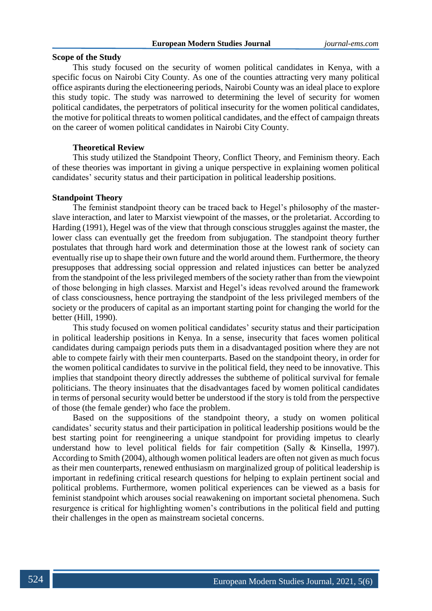# **Scope of the Study**

This study focused on the security of women political candidates in Kenya, with a specific focus on Nairobi City County. As one of the counties attracting very many political office aspirants during the electioneering periods, Nairobi County was an ideal place to explore this study topic. The study was narrowed to determining the level of security for women political candidates, the perpetrators of political insecurity for the women political candidates, the motive for political threats to women political candidates, and the effect of campaign threats on the career of women political candidates in Nairobi City County.

# **Theoretical Review**

This study utilized the Standpoint Theory, Conflict Theory, and Feminism theory. Each of these theories was important in giving a unique perspective in explaining women political candidates' security status and their participation in political leadership positions.

### **Standpoint Theory**

The feminist standpoint theory can be traced back to Hegel's philosophy of the masterslave interaction, and later to Marxist viewpoint of the masses, or the proletariat. According to Harding (1991), Hegel was of the view that through conscious struggles against the master, the lower class can eventually get the freedom from subjugation. The standpoint theory further postulates that through hard work and determination those at the lowest rank of society can eventually rise up to shape their own future and the world around them. Furthermore, the theory presupposes that addressing social oppression and related injustices can better be analyzed from the standpoint of the less privileged members of the society rather than from the viewpoint of those belonging in high classes. Marxist and Hegel's ideas revolved around the framework of class consciousness, hence portraying the standpoint of the less privileged members of the society or the producers of capital as an important starting point for changing the world for the better (Hill, 1990).

This study focused on women political candidates' security status and their participation in political leadership positions in Kenya. In a sense, insecurity that faces women political candidates during campaign periods puts them in a disadvantaged position where they are not able to compete fairly with their men counterparts. Based on the standpoint theory, in order for the women political candidates to survive in the political field, they need to be innovative. This implies that standpoint theory directly addresses the subtheme of political survival for female politicians. The theory insinuates that the disadvantages faced by women political candidates in terms of personal security would better be understood if the story is told from the perspective of those (the female gender) who face the problem.

Based on the suppositions of the standpoint theory, a study on women political candidates' security status and their participation in political leadership positions would be the best starting point for reengineering a unique standpoint for providing impetus to clearly understand how to level political fields for fair competition (Sally & Kinsella, 1997). According to Smith (2004), although women political leaders are often not given as much focus as their men counterparts, renewed enthusiasm on marginalized group of political leadership is important in redefining critical research questions for helping to explain pertinent social and political problems. Furthermore, women political experiences can be viewed as a basis for feminist standpoint which arouses social reawakening on important societal phenomena. Such resurgence is critical for highlighting women's contributions in the political field and putting their challenges in the open as mainstream societal concerns.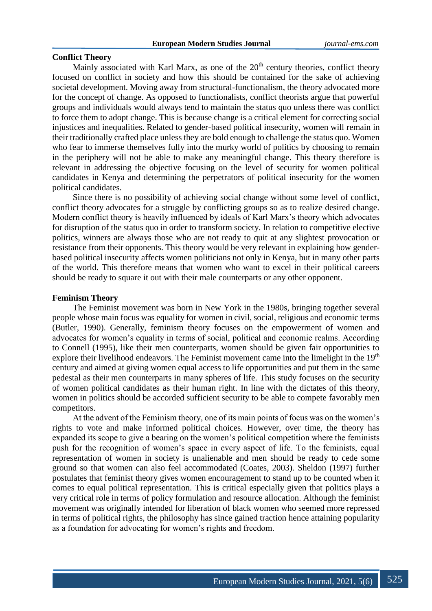# **Conflict Theory**

Mainly associated with Karl Marx, as one of the  $20<sup>th</sup>$  century theories, conflict theory focused on conflict in society and how this should be contained for the sake of achieving societal development. Moving away from structural-functionalism, the theory advocated more for the concept of change. As opposed to functionalists, conflict theorists argue that powerful groups and individuals would always tend to maintain the status quo unless there was conflict to force them to adopt change. This is because change is a critical element for correcting social injustices and inequalities. Related to gender-based political insecurity, women will remain in their traditionally crafted place unless they are bold enough to challenge the status quo. Women who fear to immerse themselves fully into the murky world of politics by choosing to remain in the periphery will not be able to make any meaningful change. This theory therefore is relevant in addressing the objective focusing on the level of security for women political candidates in Kenya and determining the perpetrators of political insecurity for the women political candidates.

Since there is no possibility of achieving social change without some level of conflict, conflict theory advocates for a struggle by conflicting groups so as to realize desired change. Modern conflict theory is heavily influenced by ideals of Karl Marx's theory which advocates for disruption of the status quo in order to transform society. In relation to competitive elective politics, winners are always those who are not ready to quit at any slightest provocation or resistance from their opponents. This theory would be very relevant in explaining how genderbased political insecurity affects women politicians not only in Kenya, but in many other parts of the world. This therefore means that women who want to excel in their political careers should be ready to square it out with their male counterparts or any other opponent.

#### **Feminism Theory**

The Feminist movement was born in New York in the 1980s, bringing together several people whose main focus was equality for women in civil, social, religious and economic terms (Butler, 1990). Generally, feminism theory focuses on the empowerment of women and advocates for women's equality in terms of social, political and economic realms. According to Connell (1995), like their men counterparts, women should be given fair opportunities to explore their livelihood endeavors. The Feminist movement came into the limelight in the 19<sup>th</sup> century and aimed at giving women equal access to life opportunities and put them in the same pedestal as their men counterparts in many spheres of life. This study focuses on the security of women political candidates as their human right. In line with the dictates of this theory, women in politics should be accorded sufficient security to be able to compete favorably men competitors.

At the advent of the Feminism theory, one of its main points of focus was on the women's rights to vote and make informed political choices. However, over time, the theory has expanded its scope to give a bearing on the women's political competition where the feminists push for the recognition of women's space in every aspect of life. To the feminists, equal representation of women in society is unalienable and men should be ready to cede some ground so that women can also feel accommodated (Coates, 2003). Sheldon (1997) further postulates that feminist theory gives women encouragement to stand up to be counted when it comes to equal political representation. This is critical especially given that politics plays a very critical role in terms of policy formulation and resource allocation. Although the feminist movement was originally intended for liberation of black women who seemed more repressed in terms of political rights, the philosophy has since gained traction hence attaining popularity as a foundation for advocating for women's rights and freedom.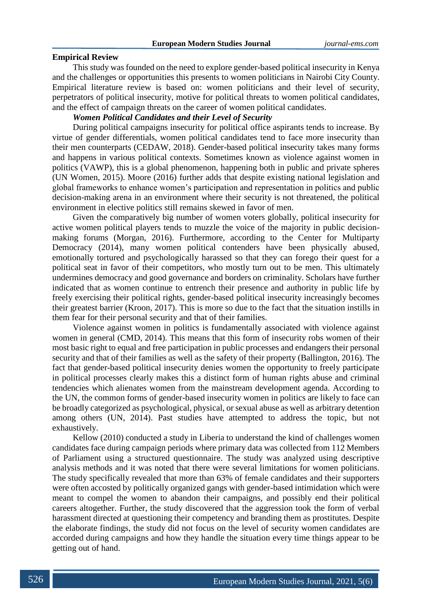#### **Empirical Review**

This study was founded on the need to explore gender-based political insecurity in Kenya and the challenges or opportunities this presents to women politicians in Nairobi City County. Empirical literature review is based on: women politicians and their level of security, perpetrators of political insecurity, motive for political threats to women political candidates, and the effect of campaign threats on the career of women political candidates.

# *Women Political Candidates and their Level of Security*

During political campaigns insecurity for political office aspirants tends to increase. By virtue of gender differentials, women political candidates tend to face more insecurity than their men counterparts (CEDAW, 2018). Gender-based political insecurity takes many forms and happens in various political contexts. Sometimes known as violence against women in politics (VAWP), this is a global phenomenon, happening both in public and private spheres (UN Women, 2015). Moore (2016) further adds that despite existing national legislation and global frameworks to enhance women's participation and representation in politics and public decision-making arena in an environment where their security is not threatened, the political environment in elective politics still remains skewed in favor of men.

Given the comparatively big number of women voters globally, political insecurity for active women political players tends to muzzle the voice of the majority in public decisionmaking forums (Morgan, 2016). Furthermore, according to the Center for Multiparty Democracy (2014), many women political contenders have been physically abused, emotionally tortured and psychologically harassed so that they can forego their quest for a political seat in favor of their competitors, who mostly turn out to be men. This ultimately undermines democracy and good governance and borders on criminality. Scholars have further indicated that as women continue to entrench their presence and authority in public life by freely exercising their political rights, gender-based political insecurity increasingly becomes their greatest barrier (Kroon, 2017). This is more so due to the fact that the situation instills in them fear for their personal security and that of their families.

Violence against women in politics is fundamentally associated with violence against women in general (CMD, 2014). This means that this form of insecurity robs women of their most basic right to equal and free participation in public processes and endangers their personal security and that of their families as well as the safety of their property (Ballington, 2016). The fact that gender-based political insecurity denies women the opportunity to freely participate in political processes clearly makes this a distinct form of human rights abuse and criminal tendencies which alienates women from the mainstream development agenda. According to the UN, the common forms of gender-based insecurity women in politics are likely to face can be broadly categorized as psychological, physical, or sexual abuse as well as arbitrary detention among others (UN, 2014). Past studies have attempted to address the topic, but not exhaustively.

Kellow (2010) conducted a study in Liberia to understand the kind of challenges women candidates face during campaign periods where primary data was collected from 112 Members of Parliament using a structured questionnaire. The study was analyzed using descriptive analysis methods and it was noted that there were several limitations for women politicians. The study specifically revealed that more than 63% of female candidates and their supporters were often accosted by politically organized gangs with gender-based intimidation which were meant to compel the women to abandon their campaigns, and possibly end their political careers altogether. Further, the study discovered that the aggression took the form of verbal harassment directed at questioning their competency and branding them as prostitutes. Despite the elaborate findings, the study did not focus on the level of security women candidates are accorded during campaigns and how they handle the situation every time things appear to be getting out of hand.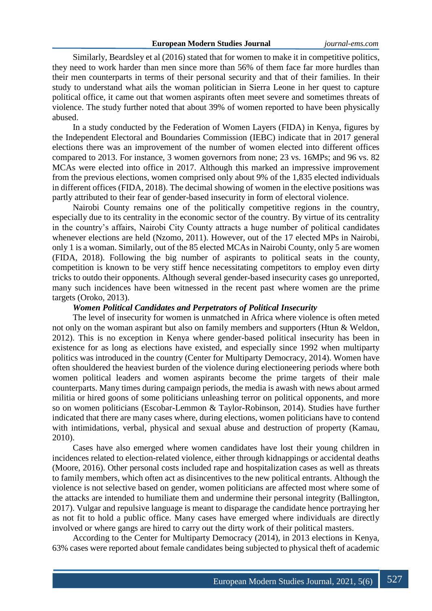Similarly, Beardsley et al (2016) stated that for women to make it in competitive politics, they need to work harder than men since more than 56% of them face far more hurdles than their men counterparts in terms of their personal security and that of their families. In their study to understand what ails the woman politician in Sierra Leone in her quest to capture political office, it came out that women aspirants often meet severe and sometimes threats of violence. The study further noted that about 39% of women reported to have been physically abused.

In a study conducted by the Federation of Women Layers (FIDA) in Kenya, figures by the Independent Electoral and Boundaries Commission (IEBC) indicate that in 2017 general elections there was an improvement of the number of women elected into different offices compared to 2013. For instance, 3 women governors from none; 23 vs. 16MPs; and 96 vs. 82 MCAs were elected into office in 2017. Although this marked an impressive improvement from the previous elections, women comprised only about 9% of the 1,835 elected individuals in different offices (FIDA, 2018). The decimal showing of women in the elective positions was partly attributed to their fear of gender-based insecurity in form of electoral violence.

Nairobi County remains one of the politically competitive regions in the country, especially due to its centrality in the economic sector of the country. By virtue of its centrality in the country's affairs, Nairobi City County attracts a huge number of political candidates whenever elections are held (Nzomo, 2011). However, out of the 17 elected MPs in Nairobi, only 1 is a woman. Similarly, out of the 85 elected MCAs in Nairobi County, only 5 are women (FIDA, 2018). Following the big number of aspirants to political seats in the county, competition is known to be very stiff hence necessitating competitors to employ even dirty tricks to outdo their opponents. Although several gender-based insecurity cases go unreported, many such incidences have been witnessed in the recent past where women are the prime targets (Oroko, 2013).

#### *Women Political Candidates and Perpetrators of Political Insecurity*

The level of insecurity for women is unmatched in Africa where violence is often meted not only on the woman aspirant but also on family members and supporters (Htun & Weldon, 2012). This is no exception in Kenya where gender-based political insecurity has been in existence for as long as elections have existed, and especially since 1992 when multiparty politics was introduced in the country (Center for Multiparty Democracy, 2014). Women have often shouldered the heaviest burden of the violence during electioneering periods where both women political leaders and women aspirants become the prime targets of their male counterparts. Many times during campaign periods, the media is awash with news about armed militia or hired goons of some politicians unleashing terror on political opponents, and more so on women politicians (Escobar-Lemmon & Taylor-Robinson, 2014). Studies have further indicated that there are many cases where, during elections, women politicians have to contend with intimidations, verbal, physical and sexual abuse and destruction of property (Kamau, 2010).

Cases have also emerged where women candidates have lost their young children in incidences related to election-related violence, either through kidnappings or accidental deaths (Moore, 2016). Other personal costs included rape and hospitalization cases as well as threats to family members, which often act as disincentives to the new political entrants. Although the violence is not selective based on gender, women politicians are affected most where some of the attacks are intended to humiliate them and undermine their personal integrity (Ballington, 2017). Vulgar and repulsive language is meant to disparage the candidate hence portraying her as not fit to hold a public office. Many cases have emerged where individuals are directly involved or where gangs are hired to carry out the dirty work of their political masters.

According to the Center for Multiparty Democracy (2014), in 2013 elections in Kenya, 63% cases were reported about female candidates being subjected to physical theft of academic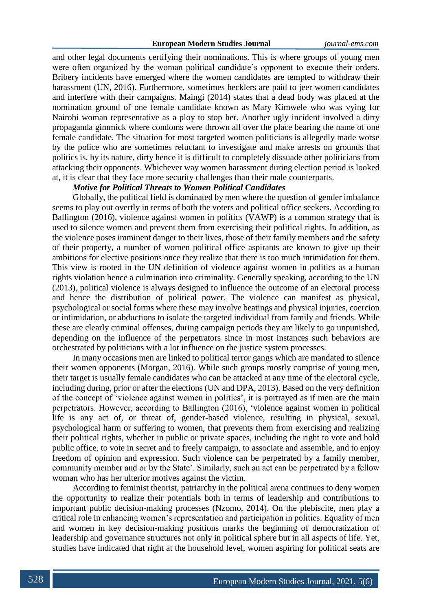and other legal documents certifying their nominations. This is where groups of young men were often organized by the woman political candidate's opponent to execute their orders. Bribery incidents have emerged where the women candidates are tempted to withdraw their harassment (UN, 2016). Furthermore, sometimes hecklers are paid to jeer women candidates and interfere with their campaigns. Maingi (2014) states that a dead body was placed at the nomination ground of one female candidate known as Mary Kimwele who was vying for Nairobi woman representative as a ploy to stop her. Another ugly incident involved a dirty propaganda gimmick where condoms were thrown all over the place bearing the name of one female candidate. The situation for most targeted women politicians is allegedly made worse by the police who are sometimes reluctant to investigate and make arrests on grounds that politics is, by its nature, dirty hence it is difficult to completely dissuade other politicians from attacking their opponents. Whichever way women harassment during election period is looked at, it is clear that they face more security challenges than their male counterparts.

# *Motive for Political Threats to Women Political Candidates*

Globally, the political field is dominated by men where the question of gender imbalance seems to play out overtly in terms of both the voters and political office seekers. According to Ballington (2016), violence against women in politics (VAWP) is a common strategy that is used to silence women and prevent them from exercising their political rights. In addition, as the violence poses imminent danger to their lives, those of their family members and the safety of their property, a number of women political office aspirants are known to give up their ambitions for elective positions once they realize that there is too much intimidation for them. This view is rooted in the UN definition of violence against women in politics as a human rights violation hence a culmination into criminality. Generally speaking, according to the UN (2013), political violence is always designed to influence the outcome of an electoral process and hence the distribution of political power. The violence can manifest as physical, psychological or social forms where these may involve beatings and physical injuries, coercion or intimidation, or abductions to isolate the targeted individual from family and friends. While these are clearly criminal offenses, during campaign periods they are likely to go unpunished, depending on the influence of the perpetrators since in most instances such behaviors are orchestrated by politicians with a lot influence on the justice system processes.

In many occasions men are linked to political terror gangs which are mandated to silence their women opponents (Morgan, 2016). While such groups mostly comprise of young men, their target is usually female candidates who can be attacked at any time of the electoral cycle, including during, prior or after the elections (UN and DPA, 2013). Based on the very definition of the concept of 'violence against women in politics', it is portrayed as if men are the main perpetrators. However, according to Ballington (2016), 'violence against women in political life is any act of, or threat of, gender-based violence, resulting in physical, sexual, psychological harm or suffering to women, that prevents them from exercising and realizing their political rights, whether in public or private spaces, including the right to vote and hold public office, to vote in secret and to freely campaign, to associate and assemble, and to enjoy freedom of opinion and expression. Such violence can be perpetrated by a family member, community member and or by the State'. Similarly, such an act can be perpetrated by a fellow woman who has her ulterior motives against the victim.

According to feminist theorist, patriarchy in the political arena continues to deny women the opportunity to realize their potentials both in terms of leadership and contributions to important public decision-making processes (Nzomo, 2014). On the plebiscite, men play a critical role in enhancing women's representation and participation in politics. Equality of men and women in key decision-making positions marks the beginning of democratization of leadership and governance structures not only in political sphere but in all aspects of life. Yet, studies have indicated that right at the household level, women aspiring for political seats are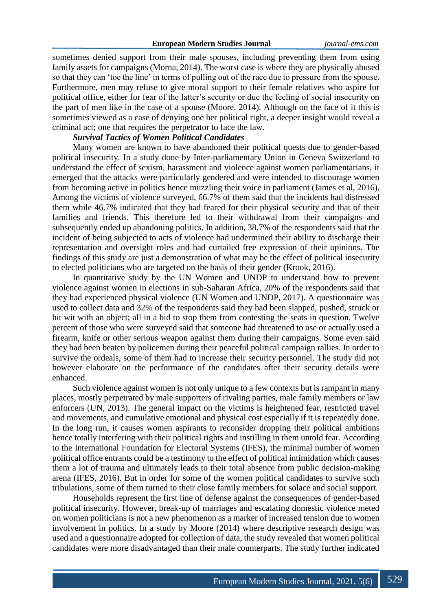sometimes denied support from their male spouses, including preventing them from using family assets for campaigns (Morna, 2014). The worst case is where they are physically abused so that they can 'toe the line' in terms of pulling out of the race due to pressure from the spouse. Furthermore, men may refuse to give moral support to their female relatives who aspire for political office, either for fear of the latter's security or due the feeling of social insecurity on the part of men like in the case of a spouse (Moore, 2014). Although on the face of it this is sometimes viewed as a case of denying one her political right, a deeper insight would reveal a criminal act; one that requires the perpetrator to face the law.

### *Survival Tactics of Women Political Candidates*

Many women are known to have abandoned their political quests due to gender-based political insecurity. In a study done by Inter-parliamentary Union in Geneva Switzerland to understand the effect of sexism, harassment and violence against women parliamentarians, it emerged that the attacks were particularly gendered and were intended to discourage women from becoming active in politics hence muzzling their voice in parliament (James et al, 2016). Among the victims of violence surveyed, 66.7% of them said that the incidents had distressed them while 46.7% indicated that they had feared for their physical security and that of their families and friends. This therefore led to their withdrawal from their campaigns and subsequently ended up abandoning politics. In addition, 38.7% of the respondents said that the incident of being subjected to acts of violence had undermined their ability to discharge their representation and oversight roles and had curtailed free expression of their opinions. The findings of this study are just a demonstration of what may be the effect of political insecurity to elected politicians who are targeted on the basis of their gender (Krook, 2016).

In quantitative study by the UN Women and UNDP to understand how to prevent violence against women in elections in sub-Saharan Africa, 20% of the respondents said that they had experienced physical violence (UN Women and UNDP, 2017). A questionnaire was used to collect data and 32% of the respondents said they had been slapped, pushed, struck or hit wit with an object; all in a bid to stop them from contesting the seats in question. Twelve percent of those who were surveyed said that someone had threatened to use or actually used a firearm, knife or other serious weapon against them during their campaigns. Some even said they had been beaten by policemen during their peaceful political campaign rallies. In order to survive the ordeals, some of them had to increase their security personnel. The study did not however elaborate on the performance of the candidates after their security details were enhanced.

Such violence against women is not only unique to a few contexts but is rampant in many places, mostly perpetrated by male supporters of rivaling parties, male family members or law enforcers (UN, 2013). The general impact on the victims is heightened fear, restricted travel and movements, and cumulative emotional and physical cost especially if it is repeatedly done. In the long run, it causes women aspirants to reconsider dropping their political ambitions hence totally interfering with their political rights and instilling in them untold fear. According to the International Foundation for Electoral Systems (IFES), the minimal number of women political office entrants could be a testimony to the effect of political intimidation which causes them a lot of trauma and ultimately leads to their total absence from public decision-making arena (IFES, 2016). But in order for some of the women political candidates to survive such tribulations, some of them turned to their close family members for solace and social support.

Households represent the first line of defense against the consequences of gender-based political insecurity. However, break-up of marriages and escalating domestic violence meted on women politicians is not a new phenomenon as a marker of increased tension due to women involvement in politics. In a study by Moore (2014) where descriptive research design was used and a questionnaire adopted for collection of data, the study revealed that women political candidates were more disadvantaged than their male counterparts. The study further indicated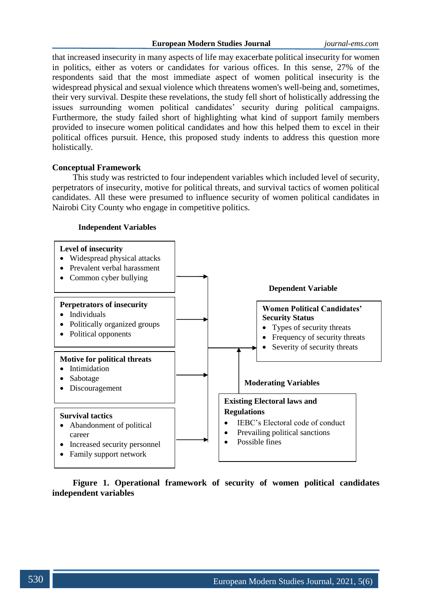that increased insecurity in many aspects of life may exacerbate political insecurity for women in politics, either as voters or candidates for various offices. In this sense, 27% of the respondents said that the most immediate aspect of women political insecurity is the widespread physical and sexual violence which threatens women's well-being and, sometimes, their very survival. Despite these revelations, the study fell short of holistically addressing the issues surrounding women political candidates' security during political campaigns. Furthermore, the study failed short of highlighting what kind of support family members provided to insecure women political candidates and how this helped them to excel in their political offices pursuit. Hence, this proposed study indents to address this question more holistically.

### **Conceptual Framework**

This study was restricted to four independent variables which included level of security, perpetrators of insecurity, motive for political threats, and survival tactics of women political candidates. All these were presumed to influence security of women political candidates in Nairobi City County who engage in competitive politics.

# **Independent Variables**



**Figure 1. Operational framework of security of women political candidates independent variables**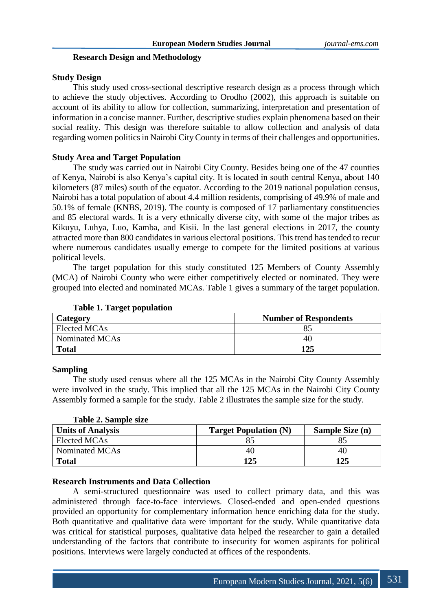### **Research Design and Methodology**

# **Study Design**

This study used cross-sectional descriptive research design as a process through which to achieve the study objectives. According to Orodho (2002), this approach is suitable on account of its ability to allow for collection, summarizing, interpretation and presentation of information in a concise manner. Further, descriptive studies explain phenomena based on their social reality. This design was therefore suitable to allow collection and analysis of data regarding women politics in Nairobi City County in terms of their challenges and opportunities.

### **Study Area and Target Population**

The study was carried out in Nairobi City County. Besides being one of the 47 counties of Kenya, Nairobi is also Kenya's capital city. It is located in south central Kenya, about 140 kilometers (87 miles) south of the equator. According to the 2019 national population census, Nairobi has a total population of about 4.4 million residents, comprising of 49.9% of male and 50.1% of female (KNBS, 2019). The county is composed of 17 parliamentary constituencies and 85 electoral wards. It is a very ethnically diverse city, with some of the major tribes as Kikuyu, Luhya, Luo, Kamba, and Kisii. In the last general elections in 2017, the county attracted more than 800 candidates in various electoral positions. This trend has tended to recur where numerous candidates usually emerge to compete for the limited positions at various political levels.

The target population for this study constituted 125 Members of County Assembly (MCA) of Nairobi County who were either competitively elected or nominated. They were grouped into elected and nominated MCAs. Table 1 gives a summary of the target population.

| Category            | <b>Number of Respondents</b> |
|---------------------|------------------------------|
| <b>Elected MCAs</b> |                              |
| Nominated MCAs      | 40                           |
| <b>Total</b>        | 125                          |

### **Table 1. Target population**

#### **Sampling**

The study used census where all the 125 MCAs in the Nairobi City County Assembly were involved in the study. This implied that all the 125 MCAs in the Nairobi City County Assembly formed a sample for the study. Table 2 illustrates the sample size for the study.

**Table 2. Sample size**

| <b>Units of Analysis</b> | <b>Target Population (N)</b> | <b>Sample Size (n)</b> |
|--------------------------|------------------------------|------------------------|
| Elected MCAs             |                              |                        |
| Nominated MCAs           | 40                           | 40                     |
| <b>Total</b>             | 125                          | 125                    |

### **Research Instruments and Data Collection**

A semi-structured questionnaire was used to collect primary data, and this was administered through face-to-face interviews. Closed-ended and open-ended questions provided an opportunity for complementary information hence enriching data for the study. Both quantitative and qualitative data were important for the study. While quantitative data was critical for statistical purposes, qualitative data helped the researcher to gain a detailed understanding of the factors that contribute to insecurity for women aspirants for political positions. Interviews were largely conducted at offices of the respondents.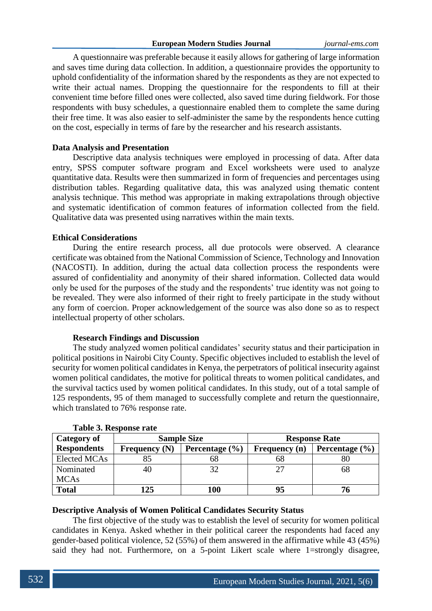A questionnaire was preferable because it easily allows for gathering of large information and saves time during data collection. In addition, a questionnaire provides the opportunity to uphold confidentiality of the information shared by the respondents as they are not expected to write their actual names. Dropping the questionnaire for the respondents to fill at their convenient time before filled ones were collected, also saved time during fieldwork. For those respondents with busy schedules, a questionnaire enabled them to complete the same during their free time. It was also easier to self-administer the same by the respondents hence cutting on the cost, especially in terms of fare by the researcher and his research assistants.

# **Data Analysis and Presentation**

Descriptive data analysis techniques were employed in processing of data. After data entry, SPSS computer software program and Excel worksheets were used to analyze quantitative data. Results were then summarized in form of frequencies and percentages using distribution tables. Regarding qualitative data, this was analyzed using thematic content analysis technique. This method was appropriate in making extrapolations through objective and systematic identification of common features of information collected from the field. Qualitative data was presented using narratives within the main texts.

# **Ethical Considerations**

During the entire research process, all due protocols were observed. A clearance certificate was obtained from the National Commission of Science, Technology and Innovation (NACOSTI). In addition, during the actual data collection process the respondents were assured of confidentiality and anonymity of their shared information. Collected data would only be used for the purposes of the study and the respondents' true identity was not going to be revealed. They were also informed of their right to freely participate in the study without any form of coercion. Proper acknowledgement of the source was also done so as to respect intellectual property of other scholars.

### **Research Findings and Discussion**

The study analyzed women political candidates' security status and their participation in political positions in Nairobi City County. Specific objectives included to establish the level of security for women political candidates in Kenya, the perpetrators of political insecurity against women political candidates, the motive for political threats to women political candidates, and the survival tactics used by women political candidates. In this study, out of a total sample of 125 respondents, 95 of them managed to successfully complete and return the questionnaire, which translated to 76% response rate.

| Category of         | <b>Sample Size</b> |                    | <b>Response Rate</b> |                    |  |
|---------------------|--------------------|--------------------|----------------------|--------------------|--|
| <b>Respondents</b>  | Frequency $(N)$    | Percentage $(\% )$ | <b>Frequency</b> (n) | Percentage $(\% )$ |  |
| <b>Elected MCAs</b> |                    | იგ                 | 68                   |                    |  |
| Nominated           | 40                 |                    | つつ                   | 68                 |  |
| <b>MCAs</b>         |                    |                    |                      |                    |  |
| <b>Total</b>        | 125                | 100                | 95                   |                    |  |

#### **Table 3. Response rate**

#### **Descriptive Analysis of Women Political Candidates Security Status**

The first objective of the study was to establish the level of security for women political candidates in Kenya. Asked whether in their political career the respondents had faced any gender-based political violence, 52 (55%) of them answered in the affirmative while 43 (45%) said they had not. Furthermore, on a 5-point Likert scale where 1=strongly disagree,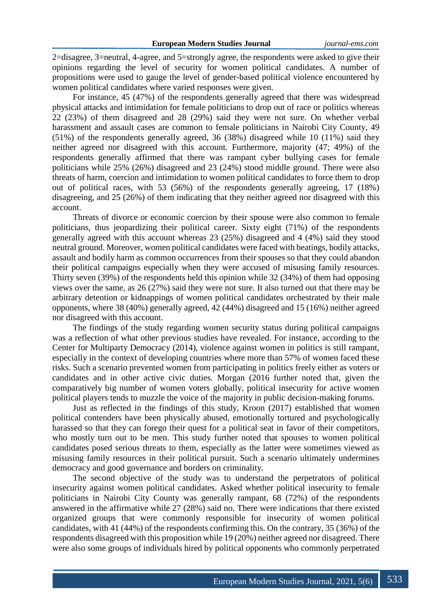2=disagree, 3=neutral, 4-agree, and 5=strongly agree, the respondents were asked to give their opinions regarding the level of security for women political candidates. A number of propositions were used to gauge the level of gender-based political violence encountered by women political candidates where varied responses were given.

For instance, 45 (47%) of the respondents generally agreed that there was widespread physical attacks and intimidation for female politicians to drop out of race or politics whereas 22 (23%) of them disagreed and 28 (29%) said they were not sure. On whether verbal harassment and assault cases are common to female politicians in Nairobi City County, 49 (51%) of the respondents generally agreed, 36 (38%) disagreed while 10 (11%) said they neither agreed nor disagreed with this account. Furthermore, majority (47; 49%) of the respondents generally affirmed that there was rampant cyber bullying cases for female politicians while 25% (26%) disagreed and 23 (24%) stood middle ground. There were also threats of harm, coercion and intimidation to women political candidates to force them to drop out of political races, with 53 (56%) of the respondents generally agreeing, 17 (18%) disagreeing, and 25 (26%) of them indicating that they neither agreed nor disagreed with this account.

Threats of divorce or economic coercion by their spouse were also common to female politicians, thus jeopardizing their political career. Sixty eight (71%) of the respondents generally agreed with this account whereas 23 (25%) disagreed and 4 (4%) said they stood neutral ground. Moreover, women political candidates were faced with beatings, bodily attacks, assault and bodily harm as common occurrences from their spouses so that they could abandon their political campaigns especially when they were accused of misusing family resources. Thirty seven (39%) of the respondents held this opinion while 32 (34%) of them had opposing views over the same, as 26 (27%) said they were not sure. It also turned out that there may be arbitrary detention or kidnappings of women political candidates orchestrated by their male opponents, where 38 (40%) generally agreed, 42 (44%) disagreed and 15 (16%) neither agreed nor disagreed with this account.

The findings of the study regarding women security status during political campaigns was a reflection of what other previous studies have revealed. For instance, according to the Center for Multiparty Democracy (2014), violence against women in politics is still rampant, especially in the context of developing countries where more than 57% of women faced these risks. Such a scenario prevented women from participating in politics freely either as voters or candidates and in other active civic duties. Morgan (2016 further noted that, given the comparatively big number of women voters globally, political insecurity for active women political players tends to muzzle the voice of the majority in public decision-making forums.

Just as reflected in the findings of this study, Kroon (2017) established that women political contenders have been physically abused, emotionally tortured and psychologically harassed so that they can forego their quest for a political seat in favor of their competitors, who mostly turn out to be men. This study further noted that spouses to women political candidates posed serious threats to them, especially as the latter were sometimes viewed as misusing family resources in their political pursuit. Such a scenario ultimately undermines democracy and good governance and borders on criminality.

The second objective of the study was to understand the perpetrators of political insecurity against women political candidates. Asked whether political insecurity to female politicians in Nairobi City County was generally rampant, 68 (72%) of the respondents answered in the affirmative while 27 (28%) said no. There were indications that there existed organized groups that were commonly responsible for insecurity of women political candidates, with 41 (44%) of the respondents confirming this. On the contrary, 35 (36%) of the respondents disagreed with this proposition while 19 (20%) neither agreed nor disagreed. There were also some groups of individuals hired by political opponents who commonly perpetrated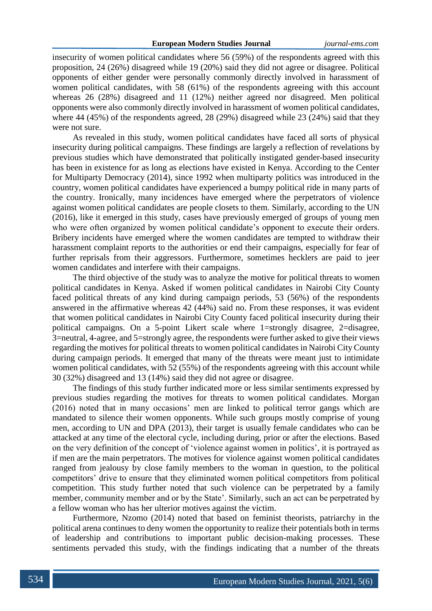insecurity of women political candidates where 56 (59%) of the respondents agreed with this proposition, 24 (26%) disagreed while 19 (20%) said they did not agree or disagree. Political opponents of either gender were personally commonly directly involved in harassment of women political candidates, with 58 (61%) of the respondents agreeing with this account whereas 26 (28%) disagreed and 11 (12%) neither agreed nor disagreed. Men political opponents were also commonly directly involved in harassment of women political candidates, where 44 (45%) of the respondents agreed, 28 (29%) disagreed while 23 (24%) said that they were not sure.

As revealed in this study, women political candidates have faced all sorts of physical insecurity during political campaigns. These findings are largely a reflection of revelations by previous studies which have demonstrated that politically instigated gender-based insecurity has been in existence for as long as elections have existed in Kenya. According to the Center for Multiparty Democracy (2014), since 1992 when multiparty politics was introduced in the country, women political candidates have experienced a bumpy political ride in many parts of the country. Ironically, many incidences have emerged where the perpetrators of violence against women political candidates are people closets to them. Similarly, according to the UN (2016), like it emerged in this study, cases have previously emerged of groups of young men who were often organized by women political candidate's opponent to execute their orders. Bribery incidents have emerged where the women candidates are tempted to withdraw their harassment complaint reports to the authorities or end their campaigns, especially for fear of further reprisals from their aggressors. Furthermore, sometimes hecklers are paid to jeer women candidates and interfere with their campaigns.

The third objective of the study was to analyze the motive for political threats to women political candidates in Kenya. Asked if women political candidates in Nairobi City County faced political threats of any kind during campaign periods, 53 (56%) of the respondents answered in the affirmative whereas 42 (44%) said no. From these responses, it was evident that women political candidates in Nairobi City County faced political insecurity during their political campaigns. On a 5-point Likert scale where 1=strongly disagree, 2=disagree, 3=neutral, 4-agree, and 5=strongly agree, the respondents were further asked to give their views regarding the motives for political threats to women political candidates in Nairobi City County during campaign periods. It emerged that many of the threats were meant just to intimidate women political candidates, with 52 (55%) of the respondents agreeing with this account while 30 (32%) disagreed and 13 (14%) said they did not agree or disagree.

The findings of this study further indicated more or less similar sentiments expressed by previous studies regarding the motives for threats to women political candidates. Morgan (2016) noted that in many occasions' men are linked to political terror gangs which are mandated to silence their women opponents. While such groups mostly comprise of young men, according to UN and DPA (2013), their target is usually female candidates who can be attacked at any time of the electoral cycle, including during, prior or after the elections. Based on the very definition of the concept of 'violence against women in politics', it is portrayed as if men are the main perpetrators. The motives for violence against women political candidates ranged from jealousy by close family members to the woman in question, to the political competitors' drive to ensure that they eliminated women political competitors from political competition. This study further noted that such violence can be perpetrated by a family member, community member and or by the State'. Similarly, such an act can be perpetrated by a fellow woman who has her ulterior motives against the victim.

Furthermore, Nzomo (2014) noted that based on feminist theorists, patriarchy in the political arena continues to deny women the opportunity to realize their potentials both in terms of leadership and contributions to important public decision-making processes. These sentiments pervaded this study, with the findings indicating that a number of the threats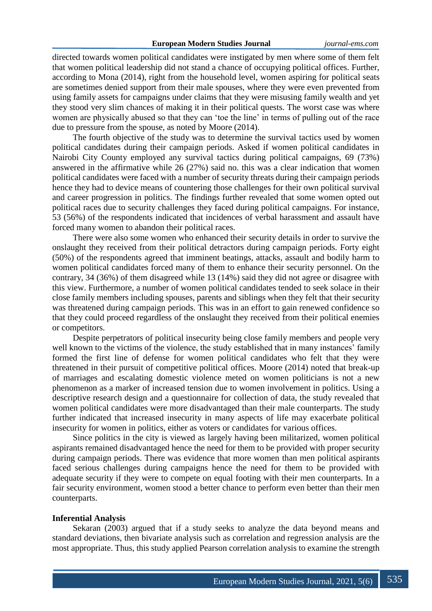directed towards women political candidates were instigated by men where some of them felt that women political leadership did not stand a chance of occupying political offices. Further, according to Mona (2014), right from the household level, women aspiring for political seats are sometimes denied support from their male spouses, where they were even prevented from using family assets for campaigns under claims that they were misusing family wealth and yet they stood very slim chances of making it in their political quests. The worst case was where women are physically abused so that they can 'toe the line' in terms of pulling out of the race due to pressure from the spouse, as noted by Moore (2014).

The fourth objective of the study was to determine the survival tactics used by women political candidates during their campaign periods. Asked if women political candidates in Nairobi City County employed any survival tactics during political campaigns, 69 (73%) answered in the affirmative while 26 (27%) said no. this was a clear indication that women political candidates were faced with a number of security threats during their campaign periods hence they had to device means of countering those challenges for their own political survival and career progression in politics. The findings further revealed that some women opted out political races due to security challenges they faced during political campaigns. For instance, 53 (56%) of the respondents indicated that incidences of verbal harassment and assault have forced many women to abandon their political races.

There were also some women who enhanced their security details in order to survive the onslaught they received from their political detractors during campaign periods. Forty eight (50%) of the respondents agreed that imminent beatings, attacks, assault and bodily harm to women political candidates forced many of them to enhance their security personnel. On the contrary, 34 (36%) of them disagreed while 13 (14%) said they did not agree or disagree with this view. Furthermore, a number of women political candidates tended to seek solace in their close family members including spouses, parents and siblings when they felt that their security was threatened during campaign periods. This was in an effort to gain renewed confidence so that they could proceed regardless of the onslaught they received from their political enemies or competitors.

Despite perpetrators of political insecurity being close family members and people very well known to the victims of the violence, the study established that in many instances' family formed the first line of defense for women political candidates who felt that they were threatened in their pursuit of competitive political offices. Moore (2014) noted that break-up of marriages and escalating domestic violence meted on women politicians is not a new phenomenon as a marker of increased tension due to women involvement in politics. Using a descriptive research design and a questionnaire for collection of data, the study revealed that women political candidates were more disadvantaged than their male counterparts. The study further indicated that increased insecurity in many aspects of life may exacerbate political insecurity for women in politics, either as voters or candidates for various offices.

Since politics in the city is viewed as largely having been militarized, women political aspirants remained disadvantaged hence the need for them to be provided with proper security during campaign periods. There was evidence that more women than men political aspirants faced serious challenges during campaigns hence the need for them to be provided with adequate security if they were to compete on equal footing with their men counterparts. In a fair security environment, women stood a better chance to perform even better than their men counterparts.

#### **Inferential Analysis**

Sekaran (2003) argued that if a study seeks to analyze the data beyond means and standard deviations, then bivariate analysis such as correlation and regression analysis are the most appropriate. Thus, this study applied Pearson correlation analysis to examine the strength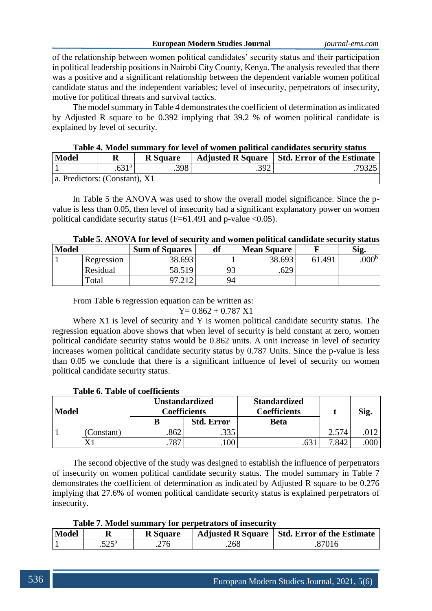of the relationship between women political candidates' security status and their participation in political leadership positions in Nairobi City County, Kenya. The analysis revealed that there was a positive and a significant relationship between the dependent variable women political candidate status and the independent variables; level of insecurity, perpetrators of insecurity, motive for political threats and survival tactics.

The model summary in Table 4 demonstrates the coefficient of determination as indicated by Adjusted R square to be 0.392 implying that 39.2 % of women political candidate is explained by level of security.

| Table 4. IVIQUEI SUIHINAI V TOI TEVEI OI WOHIEH POHUCAI CANUTUALES SECULTIV SIATUS |   |                 |      |                                                |  |  |
|------------------------------------------------------------------------------------|---|-----------------|------|------------------------------------------------|--|--|
| <b>Model</b>                                                                       | R | <b>R</b> Square |      | Adjusted R Square   Std. Error of the Estimate |  |  |
|                                                                                    |   | .398            | .392 | 79325                                          |  |  |
| a. Predictors: (Constant), X1                                                      |   |                 |      |                                                |  |  |

**Table 4. Model summary for level of women political candidates security status**

In Table 5 the ANOVA was used to show the overall model significance. Since the pvalue is less than 0.05, then level of insecurity had a significant explanatory power on women political candidate security status ( $F=61.491$  and p-value <0.05).

|              | Table 5. AlvO v A Tor level of security and women pontical candidate security status |                       |                |                    |        |                   |  |
|--------------|--------------------------------------------------------------------------------------|-----------------------|----------------|--------------------|--------|-------------------|--|
| <b>Model</b> |                                                                                      | <b>Sum of Squares</b> |                | <b>Mean Square</b> |        | Sig.              |  |
|              | Regression                                                                           | 38.693                |                | 38.693             | 61.491 | .000 <sup>b</sup> |  |
|              | Residual                                                                             | 58.519                | Q <sub>2</sub> | .629               |        |                   |  |
|              | Total                                                                                | 97.212                | 94             |                    |        |                   |  |

# **Table 5. ANOVA for level of security and women political candidate security status**

From Table 6 regression equation can be written as:

 $Y= 0.862 + 0.787 X1$ 

Where X1 is level of security and Y is women political candidate security status. The regression equation above shows that when level of security is held constant at zero, women political candidate security status would be 0.862 units. A unit increase in level of security increases women political candidate security status by 0.787 Units. Since the p-value is less than 0.05 we conclude that there is a significant influence of level of security on women political candidate security status.

|  |  |  | <b>Table 6. Table of coefficients</b> |
|--|--|--|---------------------------------------|
|--|--|--|---------------------------------------|

| <b>Model</b> |                | Unstandardized<br><b>Coefficients</b> |                   | <b>Standardized</b><br><b>Coefficients</b> |       | Sig. |
|--------------|----------------|---------------------------------------|-------------------|--------------------------------------------|-------|------|
|              |                |                                       | <b>Std. Error</b> | <b>Beta</b>                                |       |      |
|              | Constant)      | 862                                   | .335              |                                            | 2.574 |      |
|              | $\mathbf{V}$ 1 | 787                                   | 100               |                                            | 7.842 | 000  |

The second objective of the study was designed to establish the influence of perpetrators of insecurity on women political candidate security status. The model summary in Table 7 demonstrates the coefficient of determination as indicated by Adjusted R square to be 0.276 implying that 27.6% of women political candidate security status is explained perpetrators of insecurity.

**Table 7. Model summary for perpetrators of insecurity**

| <b>Model</b> |                | <b>R</b> Square |      | Adjusted R Square   Std. Error of the Estimate |
|--------------|----------------|-----------------|------|------------------------------------------------|
|              | $.525^{\rm a}$ | .276            | .268 | .87016                                         |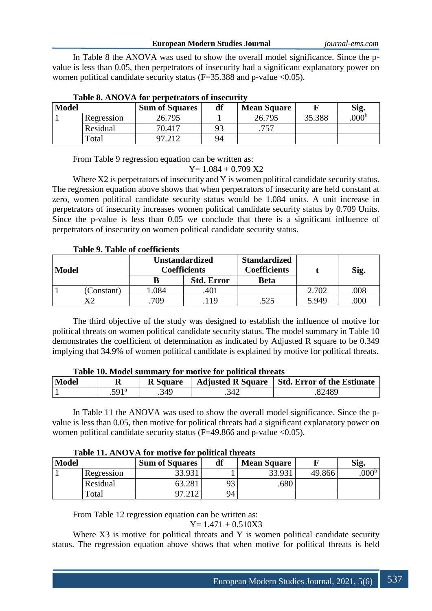In Table 8 the ANOVA was used to show the overall model significance. Since the pvalue is less than 0.05, then perpetrators of insecurity had a significant explanatory power on women political candidate security status  $(F=35.388)$  and p-value <0.05).

| Model |            | <b>Sum of Squares</b> | df | <b>Mean Square</b> |        | Sig.          |
|-------|------------|-----------------------|----|--------------------|--------|---------------|
|       | Regression | 26.795                |    | 26.795             | 35.388 | $000^{\rm b}$ |
|       | Residual   | 70.417                | 93 | ワミワ                |        |               |
|       | Total      |                       | 94 |                    |        |               |

From Table 9 regression equation can be written as:

 $Y= 1.084 + 0.709 X2$ 

Where X2 is perpetrators of insecurity and Y is women political candidate security status. The regression equation above shows that when perpetrators of insecurity are held constant at zero, women political candidate security status would be 1.084 units. A unit increase in perpetrators of insecurity increases women political candidate security status by 0.709 Units. Since the p-value is less than 0.05 we conclude that there is a significant influence of perpetrators of insecurity on women political candidate security status.

**Table 9. Table of coefficients**

| <b>Model</b> |           | <b>Unstandardized</b><br>Coefficients |                   | <b>Standardized</b><br><b>Coefficients</b> |       | Sig. |
|--------------|-----------|---------------------------------------|-------------------|--------------------------------------------|-------|------|
|              |           |                                       | <b>Std. Error</b> | <b>Beta</b>                                |       |      |
|              | Constant) | .084                                  | 401               |                                            | 2.702 | 008  |
|              | v٥        | 709                                   | 119               | .525                                       | 5.949 | 00C  |

The third objective of the study was designed to establish the influence of motive for political threats on women political candidate security status. The model summary in Table 10 demonstrates the coefficient of determination as indicated by Adjusted R square to be 0.349 implying that 34.9% of women political candidate is explained by motive for political threats.

|       | Table To, model summary for monye for political un cats |                   |                 |      |                                                |  |
|-------|---------------------------------------------------------|-------------------|-----------------|------|------------------------------------------------|--|
| Model |                                                         |                   | <b>R</b> Square |      | Adjusted R Square   Std. Error of the Estimate |  |
|       |                                                         | .591 <sup>a</sup> | .349            | .342 | 82489                                          |  |

# **Table 10. Model summary for motive for political threats**

In Table 11 the ANOVA was used to show the overall model significance. Since the pvalue is less than 0.05, then motive for political threats had a significant explanatory power on women political candidate security status ( $F=49.866$  and p-value <0.05).

| Table 11. Also vA for motive for political unicats |              |            |                       |    |                    |        |                  |
|----------------------------------------------------|--------------|------------|-----------------------|----|--------------------|--------|------------------|
|                                                    | <b>Model</b> |            | <b>Sum of Squares</b> | df | <b>Mean Square</b> |        | Sig.             |
|                                                    |              | Regression | 33.931                |    | 33.931             | 49.866 | 000 <sup>b</sup> |
|                                                    |              | Residual   | 53.281                |    | 680                |        |                  |
|                                                    |              | Total      |                       | 94 |                    |        |                  |

**Table 11. ANOVA for motive for political threats**

From Table 12 regression equation can be written as:

 $Y= 1.471 + 0.510X3$ 

Where X3 is motive for political threats and Y is women political candidate security status. The regression equation above shows that when motive for political threats is held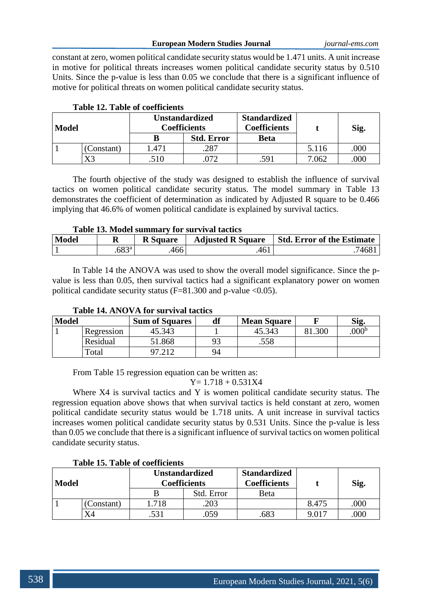constant at zero, women political candidate security status would be 1.471 units. A unit increase in motive for political threats increases women political candidate security status by 0.510 Units. Since the p-value is less than 0.05 we conclude that there is a significant influence of motive for political threats on women political candidate security status.

| <b>Model</b> |           | <b>Unstandardized</b><br><b>Coefficients</b> |                   | <b>Standardized</b><br><b>Coefficients</b> |       | Sig. |
|--------------|-----------|----------------------------------------------|-------------------|--------------------------------------------|-------|------|
|              |           |                                              | <b>Std. Error</b> | <b>Beta</b>                                |       |      |
|              | Constant) | .471                                         | 287               |                                            | 5.116 | .000 |
|              | X3        | .510                                         |                   | .591                                       | 7.062 | 000  |

# **Table 12. Table of coefficients**

The fourth objective of the study was designed to establish the influence of survival tactics on women political candidate security status. The model summary in Table 13 demonstrates the coefficient of determination as indicated by Adjusted R square to be 0.466 implying that 46.6% of women political candidate is explained by survival tactics.

### **Table 13. Model summary for survival tactics**

| <b>Model</b> | R              | <b>R</b> Square | <b>Adjusted R Square</b> | <b>Std. Error of the Estimate</b> |
|--------------|----------------|-----------------|--------------------------|-----------------------------------|
|              | $.683^{\circ}$ | 466             | 461                      | 7468.                             |

In Table 14 the ANOVA was used to show the overall model significance. Since the pvalue is less than 0.05, then survival tactics had a significant explanatory power on women political candidate security status ( $F=81.300$  and p-value <0.05).

| <b>Model</b> |            | <b>Sum of Squares</b> | df | <b>Mean Square</b> |      | Sig.          |
|--------------|------------|-----------------------|----|--------------------|------|---------------|
|              | Regression | 45.343                |    | 45.343             | .300 | $000^{\rm t}$ |
|              | Residual   | 51.868                |    | .558               |      |               |
|              | Total      | <u>ດ7 212</u>         | 94 |                    |      |               |

# **Table 14. ANOVA for survival tactics**

From Table 15 regression equation can be written as:

$$
Y\!\!=\!1.718+0.531X4
$$

Where X4 is survival tactics and Y is women political candidate security status. The regression equation above shows that when survival tactics is held constant at zero, women political candidate security status would be 1.718 units. A unit increase in survival tactics increases women political candidate security status by 0.531 Units. Since the p-value is less than 0.05 we conclude that there is a significant influence of survival tactics on women political candidate security status.

#### **Table 15. Table of coefficients**

| Model |           | <b>Unstandardized</b><br><b>Coefficients</b> |            | <b>Standardized</b><br><b>Coefficients</b> |       | Sig. |
|-------|-----------|----------------------------------------------|------------|--------------------------------------------|-------|------|
|       |           |                                              | Std. Error | Beta                                       |       |      |
|       | Constant) | .718                                         | .203       |                                            | 8.475 | .000 |
|       |           | .531                                         | 059        |                                            |       | 000  |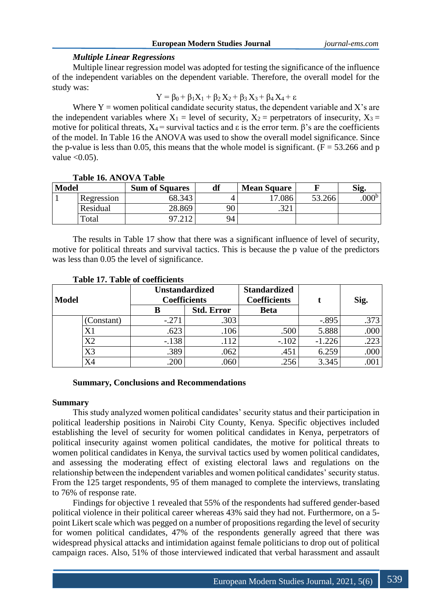|  | European Modern Studies Journal |  |  |  |
|--|---------------------------------|--|--|--|
|--|---------------------------------|--|--|--|

# *Multiple Linear Regressions*

Multiple linear regression model was adopted for testing the significance of the influence of the independent variables on the dependent variable. Therefore, the overall model for the study was:

 $Y = \beta_0 + \beta_1 X_1 + \beta_2 X_2 + \beta_3 X_3 + \beta_4 X_4 + \varepsilon$ 

Where  $Y =$  women political candidate security status, the dependent variable and X's are the independent variables where  $X_1$  = level of security,  $X_2$  = perpetrators of insecurity,  $X_3$  = motive for political threats,  $X_4$  = survival tactics and  $\varepsilon$  is the error term.  $\beta$ 's are the coefficients of the model. In Table 16 the ANOVA was used to show the overall model significance. Since the p-value is less than 0.05, this means that the whole model is significant. ( $F = 53.266$  and p value  $< 0.05$ ).

|              | ------------------------ |                       |    |                    |        |                  |  |
|--------------|--------------------------|-----------------------|----|--------------------|--------|------------------|--|
| <b>Model</b> |                          | <b>Sum of Squares</b> | df | <b>Mean Square</b> |        | <b>Sig</b>       |  |
|              | Regression               | 68.343                |    | 17.086             | 53.266 | 000 <sup>b</sup> |  |
|              | Residual                 | 28.869                | 90 | 221<br>ا ڪٽي       |        |                  |  |
|              | Total                    |                       | 94 |                    |        |                  |  |

### **Table 16. ANOVA Table**

The results in Table 17 show that there was a significant influence of level of security, motive for political threats and survival tactics. This is because the p value of the predictors was less than 0.05 the level of significance.

| <b>Model</b> |           | <b>Unstandardized</b><br><b>Coefficients</b> |                   | <b>Standardized</b><br><b>Coefficients</b> |          | Sig. |
|--------------|-----------|----------------------------------------------|-------------------|--------------------------------------------|----------|------|
|              |           |                                              | <b>Std. Error</b> | <b>Beta</b>                                |          |      |
|              | Constant) | $-.271$                                      | .303              |                                            | $-.895$  | .373 |
|              | X1        | .623                                         | .106              | .500                                       | 5.888    | .000 |
|              | X2        | $-.138$                                      | .112              | $-.102$                                    | $-1.226$ | .223 |
|              | X3        | .389                                         | .062              | .451                                       | 6.259    | .000 |
|              | <b>X4</b> | 200                                          | .060              | .256                                       | 3.345    | .001 |

# **Table 17. Table of coefficients**

# **Summary, Conclusions and Recommendations**

### **Summary**

This study analyzed women political candidates' security status and their participation in political leadership positions in Nairobi City County, Kenya. Specific objectives included establishing the level of security for women political candidates in Kenya, perpetrators of political insecurity against women political candidates, the motive for political threats to women political candidates in Kenya, the survival tactics used by women political candidates, and assessing the moderating effect of existing electoral laws and regulations on the relationship between the independent variables and women political candidates' security status. From the 125 target respondents, 95 of them managed to complete the interviews, translating to 76% of response rate.

Findings for objective 1 revealed that 55% of the respondents had suffered gender-based political violence in their political career whereas 43% said they had not. Furthermore, on a 5 point Likert scale which was pegged on a number of propositions regarding the level of security for women political candidates, 47% of the respondents generally agreed that there was widespread physical attacks and intimidation against female politicians to drop out of political campaign races. Also, 51% of those interviewed indicated that verbal harassment and assault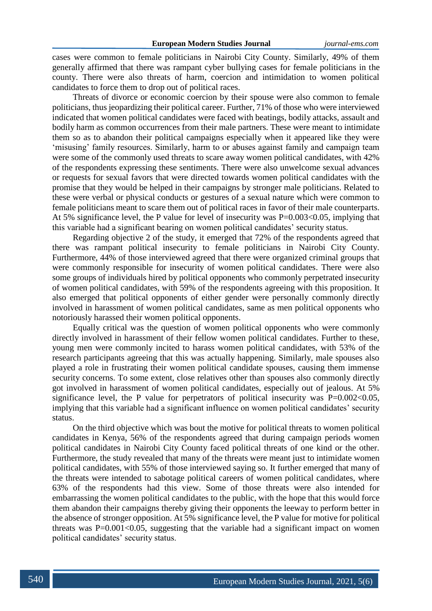cases were common to female politicians in Nairobi City County. Similarly, 49% of them generally affirmed that there was rampant cyber bullying cases for female politicians in the county. There were also threats of harm, coercion and intimidation to women political candidates to force them to drop out of political races.

Threats of divorce or economic coercion by their spouse were also common to female politicians, thus jeopardizing their political career. Further, 71% of those who were interviewed indicated that women political candidates were faced with beatings, bodily attacks, assault and bodily harm as common occurrences from their male partners. These were meant to intimidate them so as to abandon their political campaigns especially when it appeared like they were 'misusing' family resources. Similarly, harm to or abuses against family and campaign team were some of the commonly used threats to scare away women political candidates, with 42% of the respondents expressing these sentiments. There were also unwelcome sexual advances or requests for sexual favors that were directed towards women political candidates with the promise that they would be helped in their campaigns by stronger male politicians. Related to these were verbal or physical conducts or gestures of a sexual nature which were common to female politicians meant to scare them out of political races in favor of their male counterparts. At 5% significance level, the P value for level of insecurity was P=0.003<0.05, implying that this variable had a significant bearing on women political candidates' security status.

Regarding objective 2 of the study, it emerged that 72% of the respondents agreed that there was rampant political insecurity to female politicians in Nairobi City County. Furthermore, 44% of those interviewed agreed that there were organized criminal groups that were commonly responsible for insecurity of women political candidates. There were also some groups of individuals hired by political opponents who commonly perpetrated insecurity of women political candidates, with 59% of the respondents agreeing with this proposition. It also emerged that political opponents of either gender were personally commonly directly involved in harassment of women political candidates, same as men political opponents who notoriously harassed their women political opponents.

Equally critical was the question of women political opponents who were commonly directly involved in harassment of their fellow women political candidates. Further to these, young men were commonly incited to harass women political candidates, with 53% of the research participants agreeing that this was actually happening. Similarly, male spouses also played a role in frustrating their women political candidate spouses, causing them immense security concerns. To some extent, close relatives other than spouses also commonly directly got involved in harassment of women political candidates, especially out of jealous. At 5% significance level, the P value for perpetrators of political insecurity was  $P=0.002<0.05$ , implying that this variable had a significant influence on women political candidates' security status.

On the third objective which was bout the motive for political threats to women political candidates in Kenya, 56% of the respondents agreed that during campaign periods women political candidates in Nairobi City County faced political threats of one kind or the other. Furthermore, the study revealed that many of the threats were meant just to intimidate women political candidates, with 55% of those interviewed saying so. It further emerged that many of the threats were intended to sabotage political careers of women political candidates, where 63% of the respondents had this view. Some of those threats were also intended for embarrassing the women political candidates to the public, with the hope that this would force them abandon their campaigns thereby giving their opponents the leeway to perform better in the absence of stronger opposition. At 5% significance level, the P value for motive for political threats was  $P=0.001<0.05$ , suggesting that the variable had a significant impact on women political candidates' security status.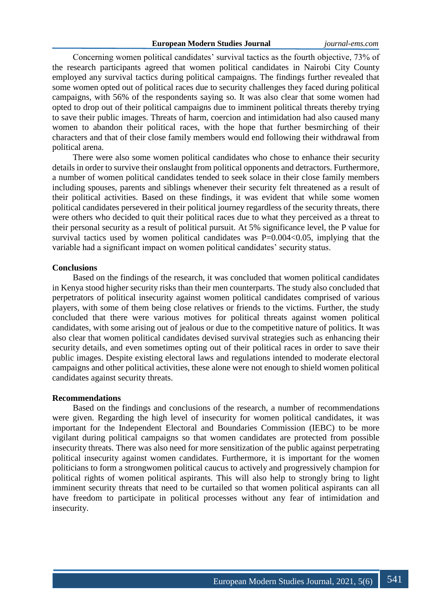Concerning women political candidates' survival tactics as the fourth objective, 73% of the research participants agreed that women political candidates in Nairobi City County employed any survival tactics during political campaigns. The findings further revealed that some women opted out of political races due to security challenges they faced during political campaigns, with 56% of the respondents saying so. It was also clear that some women had opted to drop out of their political campaigns due to imminent political threats thereby trying to save their public images. Threats of harm, coercion and intimidation had also caused many women to abandon their political races, with the hope that further besmirching of their characters and that of their close family members would end following their withdrawal from political arena.

There were also some women political candidates who chose to enhance their security details in order to survive their onslaught from political opponents and detractors. Furthermore, a number of women political candidates tended to seek solace in their close family members including spouses, parents and siblings whenever their security felt threatened as a result of their political activities. Based on these findings, it was evident that while some women political candidates persevered in their political journey regardless of the security threats, there were others who decided to quit their political races due to what they perceived as a threat to their personal security as a result of political pursuit. At 5% significance level, the P value for survival tactics used by women political candidates was  $P=0.004<0.05$ , implying that the variable had a significant impact on women political candidates' security status.

### **Conclusions**

Based on the findings of the research, it was concluded that women political candidates in Kenya stood higher security risks than their men counterparts. The study also concluded that perpetrators of political insecurity against women political candidates comprised of various players, with some of them being close relatives or friends to the victims. Further, the study concluded that there were various motives for political threats against women political candidates, with some arising out of jealous or due to the competitive nature of politics. It was also clear that women political candidates devised survival strategies such as enhancing their security details, and even sometimes opting out of their political races in order to save their public images. Despite existing electoral laws and regulations intended to moderate electoral campaigns and other political activities, these alone were not enough to shield women political candidates against security threats.

#### **Recommendations**

Based on the findings and conclusions of the research, a number of recommendations were given. Regarding the high level of insecurity for women political candidates, it was important for the Independent Electoral and Boundaries Commission (IEBC) to be more vigilant during political campaigns so that women candidates are protected from possible insecurity threats. There was also need for more sensitization of the public against perpetrating political insecurity against women candidates. Furthermore, it is important for the women politicians to form a strongwomen political caucus to actively and progressively champion for political rights of women political aspirants. This will also help to strongly bring to light imminent security threats that need to be curtailed so that women political aspirants can all have freedom to participate in political processes without any fear of intimidation and insecurity.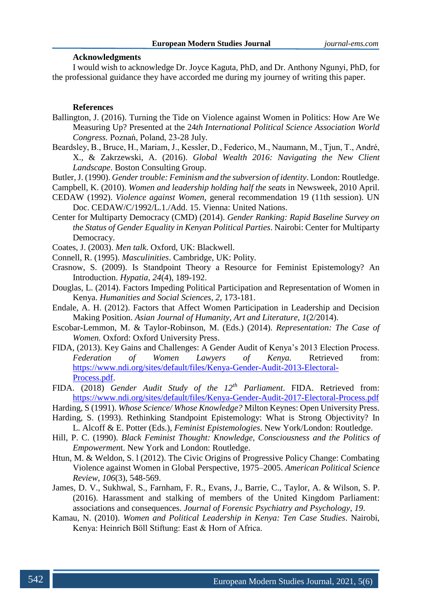#### **Acknowledgments**

I would wish to acknowledge Dr. Joyce Kaguta, PhD, and Dr. Anthony Ngunyi, PhD, for the professional guidance they have accorded me during my journey of writing this paper.

#### **References**

- Ballington, J. (2016). Turning the Tide on Violence against Women in Politics: How Are We Measuring Up? Presented at the 24*th International Political Science Association World Congress.* Poznań, Poland, 23-28 July.
- Beardsley, B., Bruce, H., Mariam, J., Kessler, D., Federico, M., Naumann, M., Tjun, T., André, X., & Zakrzewski, A. (2016). *Global Wealth 2016: Navigating the New Client Landscape*. Boston Consulting Group.
- Butler, J. (1990). *Gender trouble: Feminism and the subversion of identity*. London: Routledge.

Campbell, K. (2010). *Women and leadership holding half the seats* in Newsweek, 2010 April.

- CEDAW (1992). *Violence against Women*, general recommendation 19 (11th session). UN Doc. CEDAW/C/1992/L.1./Add. 15. Vienna: United Nations.
- Center for Multiparty Democracy (CMD) (2014). *Gender Ranking: Rapid Baseline Survey on the Status of Gender Equality in Kenyan Political Parties*. Nairobi: Center for Multiparty Democracy.
- Coates, J. (2003). *Men talk*. Oxford, UK: Blackwell.
- Connell, R. (1995). *Masculinities*. Cambridge, UK: Polity.
- Crasnow, S. (2009). Is Standpoint Theory a Resource for Feminist Epistemology? An Introduction. *Hypatia*, *24*(4), 189-192.
- Douglas, L. (2014). Factors Impeding Political Participation and Representation of Women in Kenya. *Humanities and Social Sciences, 2*, 173-181.
- Endale, A. H. (2012). Factors that Affect Women Participation in Leadership and Decision Making Position. *Asian Journal of Humanity, Art and Literature, 1*(2/2014).
- Escobar-Lemmon, M. & Taylor-Robinson, M. (Eds.) (2014). *Representation: The Case of Women.* Oxford: Oxford University Press.
- FIDA, (2013). Key Gains and Challenges: A Gender Audit of Kenya's 2013 Election Process. *Federation of Women Lawyers of Kenya.* Retrieved from: [https://www.ndi.org/sites/default/files/Kenya-Gender-Audit-2013-Electoral-](https://www.ndi.org/sites/default/files/Kenya-Gender-Audit-2013-Electoral-Process.pdf)[Process.pdf.](https://www.ndi.org/sites/default/files/Kenya-Gender-Audit-2013-Electoral-Process.pdf)
- FIDA. (2018) *Gender Audit Study of the 12th Parliament*. FIDA. Retrieved from: <https://www.ndi.org/sites/default/files/Kenya-Gender-Audit-2017-Electoral-Process.pdf>
- Harding, S (1991). *Whose Science/ Whose Knowledge?* Milton Keynes: Open University Press.
- Harding, S. (1993). Rethinking Standpoint Epistemology: What is Strong Objectivity? In L. Alcoff & E. Potter (Eds.), *Feminist Epistemologies*. New York/London: Routledge.
- Hill, P. C. (1990). *Black Feminist Thought: Knowledge, Consciousness and the Politics of Empowermen*t. New York and London: Routledge.
- Htun, M. & Weldon, S. l (2012). The Civic Origins of Progressive Policy Change: Combating Violence against Women in Global Perspective, 1975–2005. *American Political Science Review, 106*(3), 548-569.
- James, D. V., Sukhwal, S., Farnham, F. R., Evans, J., Barrie, C., Taylor, A. & Wilson, S. P. (2016). Harassment and stalking of members of the United Kingdom Parliament: associations and consequences. *Journal of Forensic Psychiatry and Psychology*, *19*.
- Kamau, N. (2010). *Women and Political Leadership in Kenya: Ten Case Studies*. Nairobi, Kenya: Heinrich Böll Stiftung: East & Horn of Africa.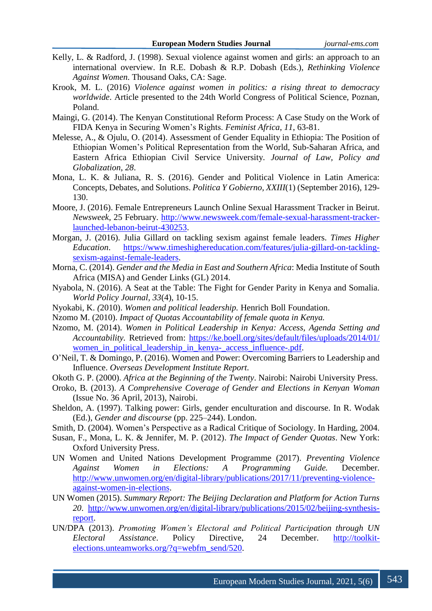- Kelly, L. & Radford, J. (1998). Sexual violence against women and girls: an approach to an international overview. In R.E. Dobash & R.P. Dobash (Eds.), *Rethinking Violence Against Women*. Thousand Oaks, CA: Sage.
- Krook, M. L. (2016) *Violence against women in politics: a rising threat to democracy worldwide*. Article presented to the 24th World Congress of Political Science, Poznan, Poland.
- Maingi, G. (2014). The Kenyan Constitutional Reform Process: A Case Study on the Work of FIDA Kenya in Securing Women's Rights. *Feminist Africa*, *11*, 63-81.
- Melesse, A., & Ojulu, O. (2014). Assessment of Gender Equality in Ethiopia: The Position of Ethiopian Women's Political Representation from the World, Sub-Saharan Africa, and Eastern Africa Ethiopian Civil Service University. *Journal of Law, Policy and Globalization*, *28*.
- Mona, L. K. & Juliana, R. S. (2016). Gender and Political Violence in Latin America: Concepts, Debates, and Solutions. *Politica Y Gobierno, XXIII*(1) (September 2016), 129- 130.
- Moore, J. (2016). Female Entrepreneurs Launch Online Sexual Harassment Tracker in Beirut. *Newsweek*, 25 February. [http://www.newsweek.com/female-sexual-harassment-tracker](http://www.newsweek.com/female-sexual-harassment-tracker-launched-lebanon-beirut-430253)[launched-lebanon-beirut-430253.](http://www.newsweek.com/female-sexual-harassment-tracker-launched-lebanon-beirut-430253)
- Morgan, J. (2016). Julia Gillard on tackling sexism against female leaders. *Times Higher Education*. [https://www.timeshighereducation.com/features/julia-gillard-on-tackling](https://www.timeshighereducation.com/features/julia-gillard-on-tackling-sexism-against-female-leaders)[sexism-against-female-leaders.](https://www.timeshighereducation.com/features/julia-gillard-on-tackling-sexism-against-female-leaders)
- Morna, C. (2014). *Gender and the Media in East and Southern Africa*: Media Institute of South Africa (MISA) and Gender Links (GL) 2014.
- Nyabola, N. (2016). A Seat at the Table: The Fight for Gender Parity in Kenya and Somalia. *World Policy Journal, 33*(4), 10-15.
- Nyokabi, K. *(*2010). *Women and political leadership.* Henrich Boll Foundation.
- Nzomo M. (2010). *Impact of Quotas Accountability of female quota in Kenya.*
- Nzomo, M. (2014). *Women in Political Leadership in Kenya: Access, Agenda Setting and Accountability.* Retrieved from: [https://ke.boell.org/sites/default/files/uploads/2014/01/](https://ke.boell.org/sites/default/files/uploads/2014/01/women_in_political_leadership_in_kenya-_access_influence-.pdf) [women\\_in\\_political\\_leadership\\_in\\_kenya-\\_access\\_influence-.pdf.](https://ke.boell.org/sites/default/files/uploads/2014/01/women_in_political_leadership_in_kenya-_access_influence-.pdf)
- O'Neil, T. & Domingo, P. (2016). Women and Power: Overcoming Barriers to Leadership and Influence. *Overseas Development Institute Report.*
- Okoth G. P. (2000). *Africa at the Beginning of the Twenty*. Nairobi: Nairobi University Press.
- Oroko, B. (2013). *A Comprehensive Coverage of Gender and Elections in Kenyan Woman* (Issue No. 36 April, 2013), Nairobi.
- Sheldon, A. (1997). Talking power: Girls, gender enculturation and discourse. In R. Wodak (Ed.), *Gender and discourse* (pp. 225–244). London.
- Smith, D. (2004). Women's Perspective as a Radical Critique of Sociology. In Harding, 2004.
- Susan, F., Mona, L. K. & Jennifer, M. P. (2012). *The Impact of Gender Quotas*. New York: Oxford University Press.
- UN Women and United Nations Development Programme (2017). *Preventing Violence Against Women in Elections: A Programming Guide.* December. [http://www.unwomen.org/en/digital-library/publications/2017/11/preventing-violence](http://www.unwomen.org/en/digital-library/publications/2017/11/preventing-violence-against-women-in-elections)[against-women-in-elections.](http://www.unwomen.org/en/digital-library/publications/2017/11/preventing-violence-against-women-in-elections)
- UN Women (2015). *Summary Report: The Beijing Declaration and Platform for Action Turns 20*. [http://www.unwomen.org/en/digital-library/publications/2015/02/beijing-synthesis](http://www.unwomen.org/en/digital-library/publications/2015/02/beijing-synthesis-report)[report.](http://www.unwomen.org/en/digital-library/publications/2015/02/beijing-synthesis-report)
- UN/DPA (2013). *Promoting Women's Electoral and Political Participation through UN Electoral Assistance*. Policy Directive, 24 December. [http://toolkit](http://toolkit-elections.unteamworks.org/?q=webfm_send/520)[elections.unteamworks.org/?q=webfm\\_send/520.](http://toolkit-elections.unteamworks.org/?q=webfm_send/520)